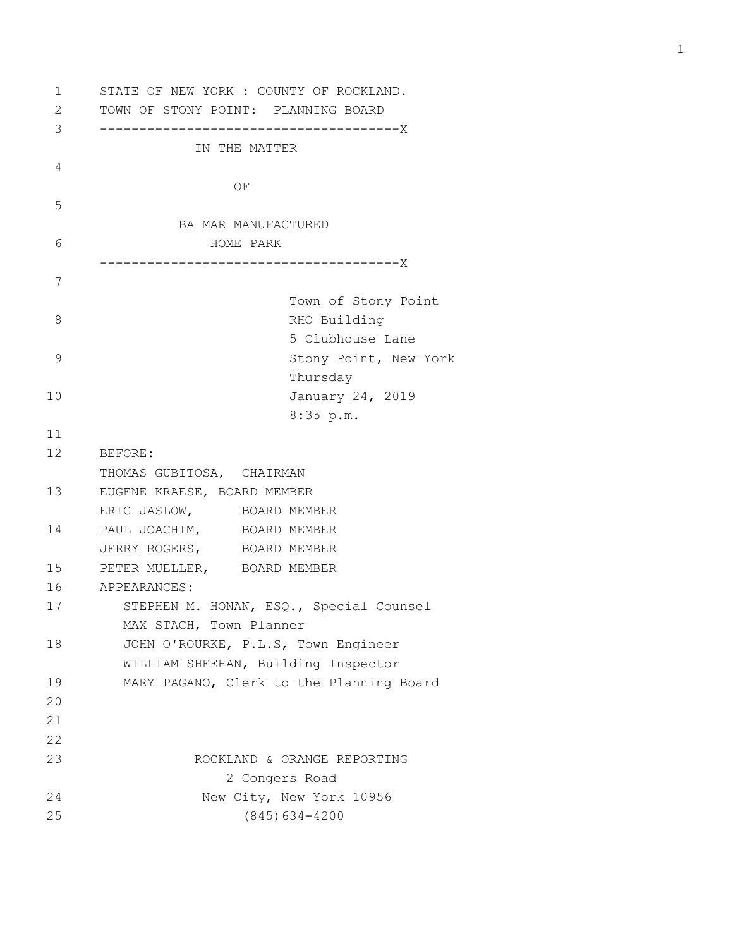1 STATE OF NEW YORK : COUNTY OF ROCKLAND. 2 TOWN OF STONY POINT: PLANNING BOARD 3 --------------------------------------X IN THE MATTER 4 **OF** *OF* 5 BA MAR MANUFACTURED 6 HOME PARK --------------------------------------X 7 Town of Stony Point 8 RHO Building 5 Clubhouse Lane 9 Stony Point, New York Thursday 10 January 24, 2019 8:35 p.m. 11 12 BEFORE: THOMAS GUBITOSA, CHAIRMAN 13 EUGENE KRAESE, BOARD MEMBER ERIC JASLOW, BOARD MEMBER 14 PAUL JOACHIM, BOARD MEMBER JERRY ROGERS, BOARD MEMBER 15 PETER MUELLER, BOARD MEMBER 16 APPEARANCES: 17 STEPHEN M. HONAN, ESQ., Special Counsel MAX STACH, Town Planner 18 JOHN O'ROURKE, P.L.S, Town Engineer WILLIAM SHEEHAN, Building Inspector 19 MARY PAGANO, Clerk to the Planning Board 20 21 22 23 ROCKLAND & ORANGE REPORTING 2 Congers Road 24 New City, New York 10956 25 (845)634-4200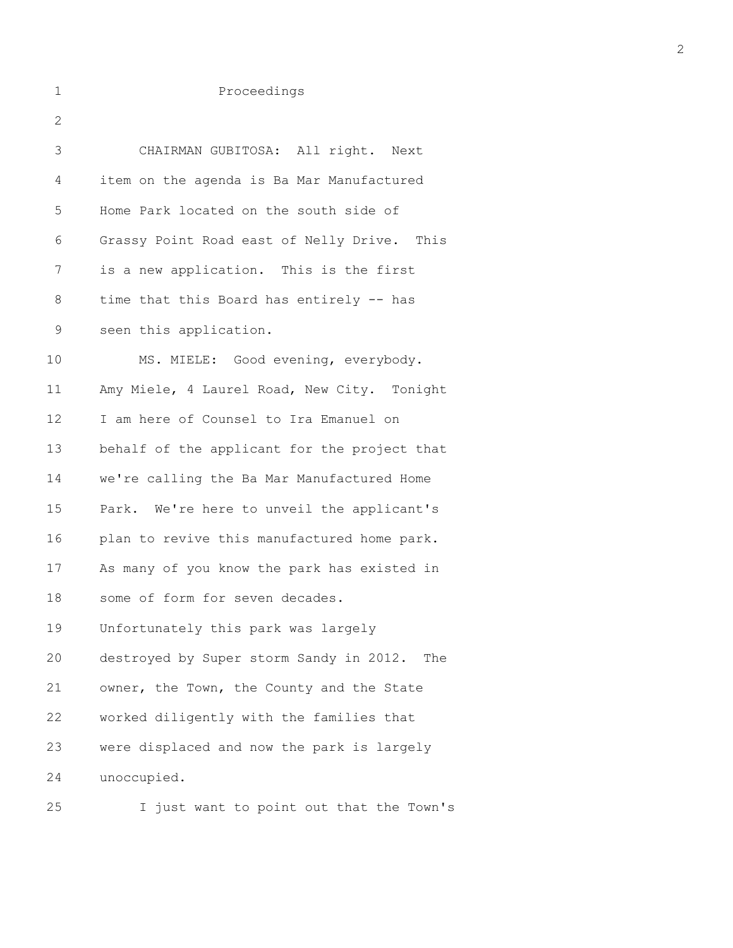| 1  | Proceedings                                    |
|----|------------------------------------------------|
| 2  |                                                |
| 3  | CHAIRMAN GUBITOSA: All right. Next             |
| 4  | item on the agenda is Ba Mar Manufactured      |
| 5  | Home Park located on the south side of         |
| 6  | Grassy Point Road east of Nelly Drive. This    |
| 7  | is a new application. This is the first        |
| 8  | time that this Board has entirely -- has       |
| 9  | seen this application.                         |
| 10 | MS. MIELE: Good evening, everybody.            |
| 11 | Amy Miele, 4 Laurel Road, New City. Tonight    |
| 12 | I am here of Counsel to Ira Emanuel on         |
| 13 | behalf of the applicant for the project that   |
| 14 | we're calling the Ba Mar Manufactured Home     |
| 15 | Park. We're here to unveil the applicant's     |
| 16 | plan to revive this manufactured home park.    |
| 17 | As many of you know the park has existed in    |
| 18 | some of form for seven decades.                |
| 19 | Unfortunately this park was largely            |
| 20 | destroyed by Super storm Sandy in 2012.<br>The |
| 21 | owner, the Town, the County and the State      |
| 22 | worked diligently with the families that       |
| 23 | were displaced and now the park is largely     |
| 24 | unoccupied.                                    |
| 25 | I just want to point out that the Town's       |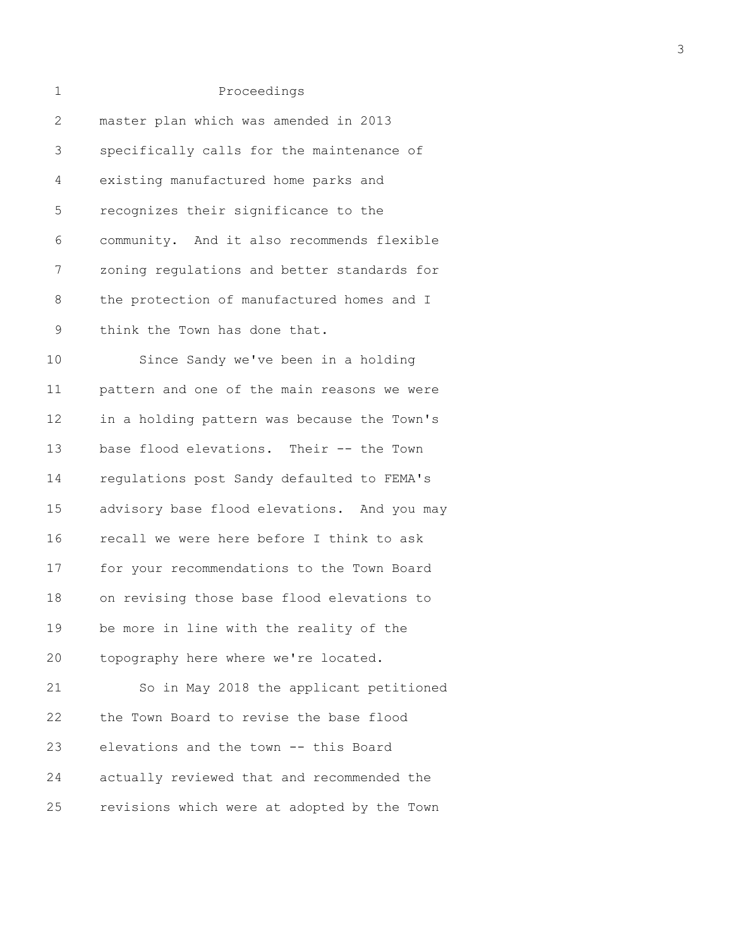| 1              | Proceedings                                 |
|----------------|---------------------------------------------|
| $\overline{2}$ | master plan which was amended in 2013       |
| 3              | specifically calls for the maintenance of   |
| 4              | existing manufactured home parks and        |
| 5              | recognizes their significance to the        |
| 6              | community. And it also recommends flexible  |
| 7              | zoning regulations and better standards for |
| 8              | the protection of manufactured homes and I  |
| 9              | think the Town has done that.               |
| 10             | Since Sandy we've been in a holding         |
| 11             | pattern and one of the main reasons we were |
| 12             | in a holding pattern was because the Town's |
| 13             | base flood elevations. Their -- the Town    |
| 14             | regulations post Sandy defaulted to FEMA's  |
| 15             | advisory base flood elevations. And you may |
| 16             | recall we were here before I think to ask   |
| 17             | for your recommendations to the Town Board  |
| 18             | on revising those base flood elevations to  |
| 19             | be more in line with the reality of the     |
| 20             | topography here where we're located.        |
| 21             | So in May 2018 the applicant petitioned     |
| 22             | the Town Board to revise the base flood     |
| 23             | elevations and the town -- this Board       |
| 24             | actually reviewed that and recommended the  |
| 25             | revisions which were at adopted by the Town |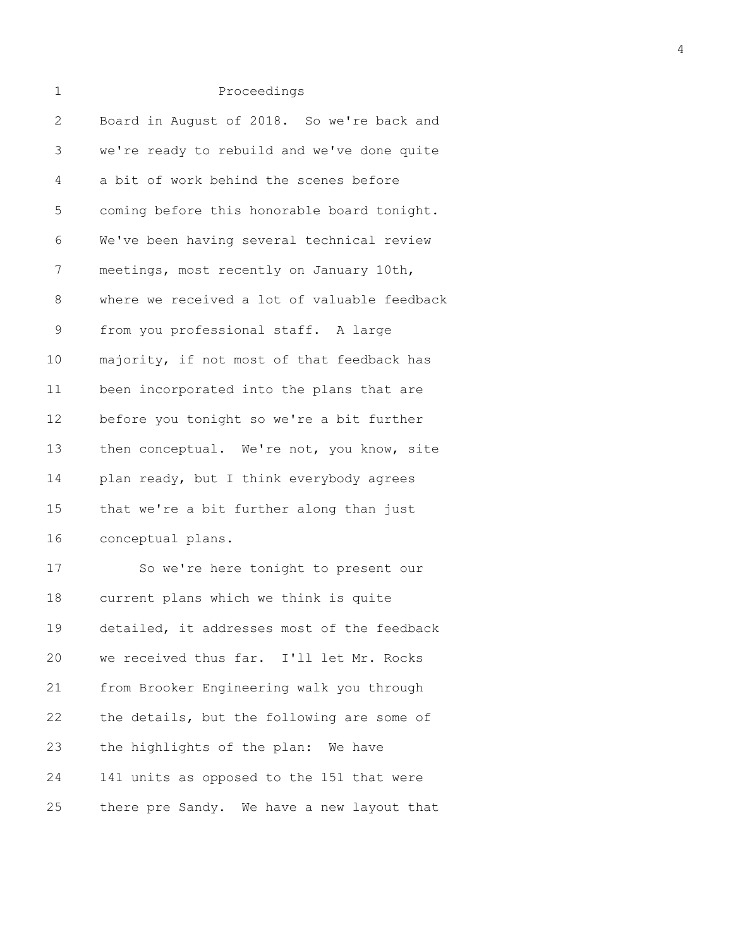| 1            | Proceedings                                  |
|--------------|----------------------------------------------|
| $\mathbf{2}$ | Board in August of 2018. So we're back and   |
| 3            | we're ready to rebuild and we've done quite  |
| 4            | a bit of work behind the scenes before       |
| 5            | coming before this honorable board tonight.  |
| 6            | We've been having several technical review   |
| 7            | meetings, most recently on January 10th,     |
| 8            | where we received a lot of valuable feedback |
| 9            | from you professional staff. A large         |
| 10           | majority, if not most of that feedback has   |
| 11           | been incorporated into the plans that are    |
| 12           | before you tonight so we're a bit further    |
| 13           | then conceptual. We're not, you know, site   |
| 14           | plan ready, but I think everybody agrees     |
| 15           | that we're a bit further along than just     |
| 16           | conceptual plans.                            |
|              |                                              |

17 So we're here tonight to present our 18 current plans which we think is quite 19 detailed, it addresses most of the feedback 20 we received thus far. I'll let Mr. Rocks 21 from Brooker Engineering walk you through 22 the details, but the following are some of 23 the highlights of the plan: We have 24 141 units as opposed to the 151 that were 25 there pre Sandy. We have a new layout that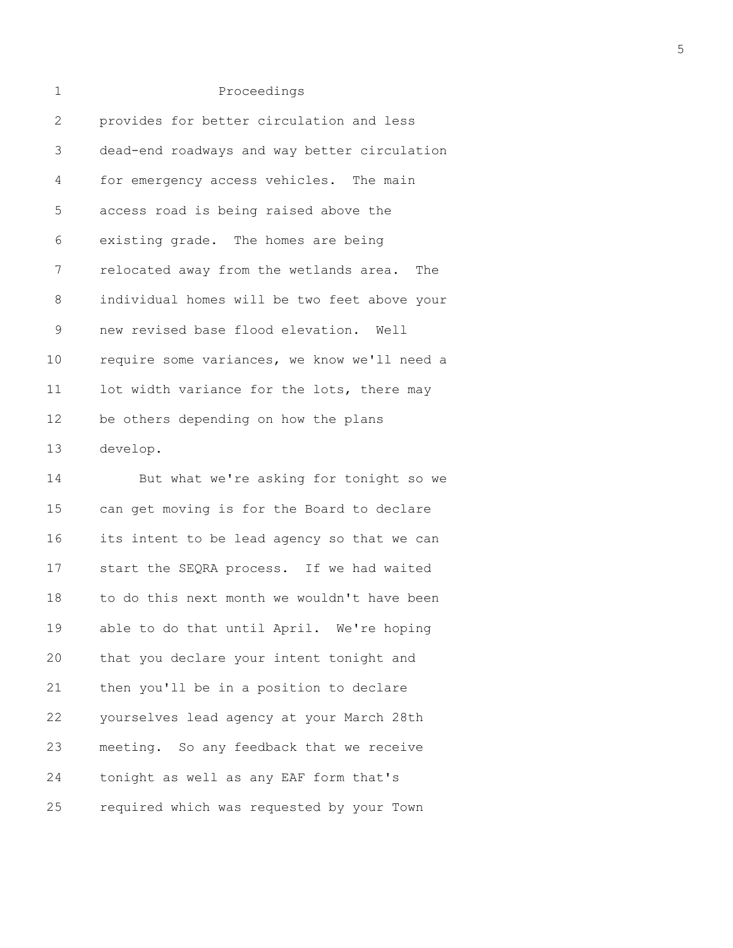| 2               | provides for better circulation and less     |
|-----------------|----------------------------------------------|
| 3               | dead-end roadways and way better circulation |
| 4               | for emergency access vehicles. The main      |
| 5               | access road is being raised above the        |
| 6               | existing grade. The homes are being          |
| 7               | relocated away from the wetlands area. The   |
| $8\,$           | individual homes will be two feet above your |
| 9               | new revised base flood elevation. Well       |
| 10              | require some variances, we know we'll need a |
| 11              | lot width variance for the lots, there may   |
| 12 <sup>°</sup> | be others depending on how the plans         |
| 13              | develop.                                     |

14 But what we're asking for tonight so we 15 can get moving is for the Board to declare 16 its intent to be lead agency so that we can 17 start the SEQRA process. If we had waited 18 to do this next month we wouldn't have been 19 able to do that until April. We're hoping 20 that you declare your intent tonight and 21 then you'll be in a position to declare 22 yourselves lead agency at your March 28th 23 meeting. So any feedback that we receive 24 tonight as well as any EAF form that's 25 required which was requested by your Town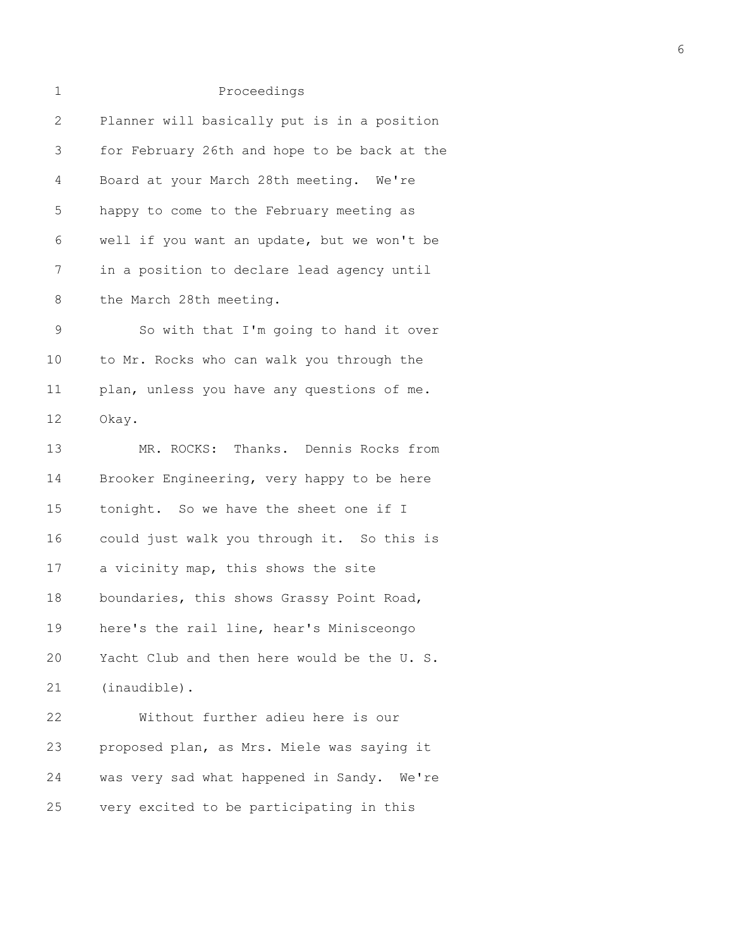| $\mathbf 1$  | Proceedings                                  |
|--------------|----------------------------------------------|
| $\mathbf{2}$ | Planner will basically put is in a position  |
| 3            | for February 26th and hope to be back at the |
| 4            | Board at your March 28th meeting. We're      |
| 5            | happy to come to the February meeting as     |
| 6            | well if you want an update, but we won't be  |
| 7            | in a position to declare lead agency until   |
| $8\,$        | the March 28th meeting.                      |
| $\mathsf 9$  | So with that I'm going to hand it over       |
| 10           | to Mr. Rocks who can walk you through the    |
| 11           | plan, unless you have any questions of me.   |
| 12           | Okay.                                        |
| 13           | MR. ROCKS: Thanks. Dennis Rocks from         |
| 14           | Brooker Engineering, very happy to be here   |
| 15           | tonight. So we have the sheet one if I       |
| 16           | could just walk you through it. So this is   |
| 17           | a vicinity map, this shows the site          |
| 18           | boundaries, this shows Grassy Point Road,    |
| 19           | here's the rail line, hear's Minisceongo     |
| 20           | Yacht Club and then here would be the U. S.  |
| 21           | (inaudible).                                 |
| 22           | Without further adieu here is our            |
| 23           | proposed plan, as Mrs. Miele was saying it   |
| 24           | was very sad what happened in Sandy. We're   |
| 25           | very excited to be participating in this     |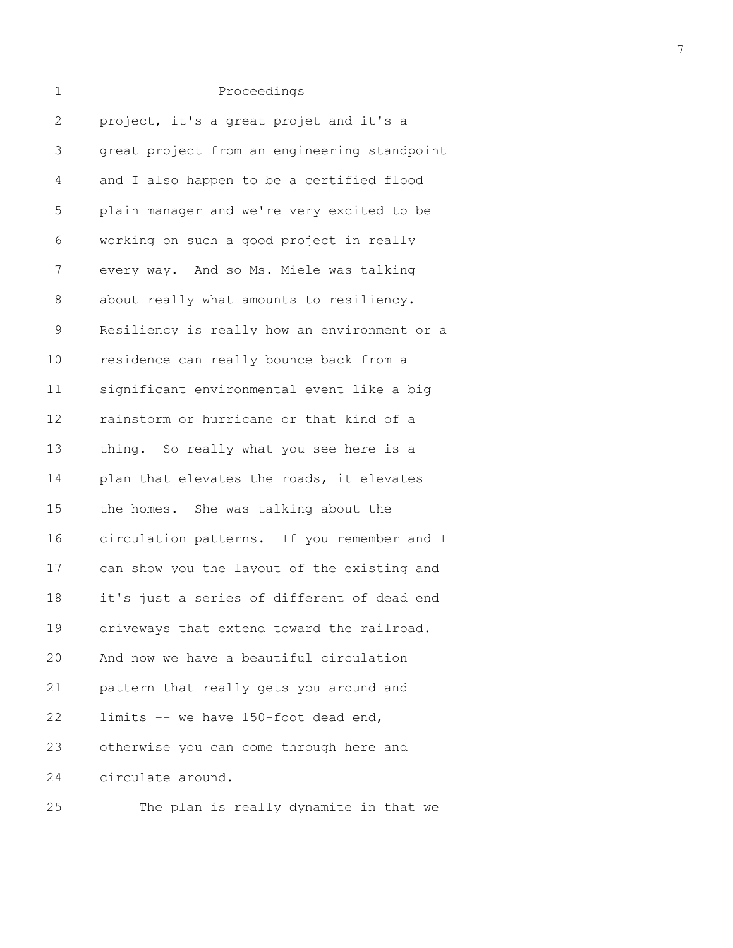| Proceedings |
|-------------|

| $\mathbf{2}$ | project, it's a great projet and it's a      |
|--------------|----------------------------------------------|
| 3            | great project from an engineering standpoint |
| 4            | and I also happen to be a certified flood    |
| 5            | plain manager and we're very excited to be   |
| 6            | working on such a good project in really     |
| 7            | every way. And so Ms. Miele was talking      |
| 8            | about really what amounts to resiliency.     |
| $\mathsf 9$  | Resiliency is really how an environment or a |
| 10           | residence can really bounce back from a      |
| 11           | significant environmental event like a big   |
| 12           | rainstorm or hurricane or that kind of a     |
| 13           | thing. So really what you see here is a      |
| 14           | plan that elevates the roads, it elevates    |
| 15           | the homes. She was talking about the         |
| 16           | circulation patterns. If you remember and I  |
| 17           | can show you the layout of the existing and  |
| 18           | it's just a series of different of dead end  |
| 19           | driveways that extend toward the railroad.   |
| 20           | And now we have a beautiful circulation      |
| 21           | pattern that really gets you around and      |
| 22           | limits -- we have 150-foot dead end,         |
| 23           | otherwise you can come through here and      |
| 24           | circulate around.                            |
|              |                                              |

25 The plan is really dynamite in that we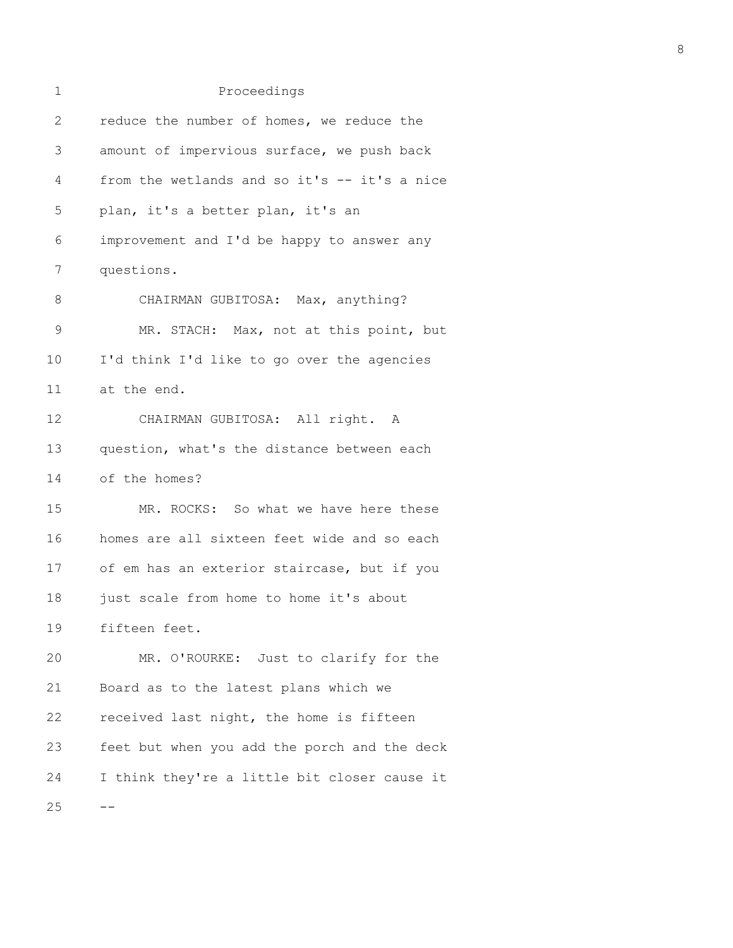| 1  | Proceedings                                  |
|----|----------------------------------------------|
| 2  | reduce the number of homes, we reduce the    |
| 3  | amount of impervious surface, we push back   |
| 4  | from the wetlands and so it's -- it's a nice |
| 5  | plan, it's a better plan, it's an            |
| 6  | improvement and I'd be happy to answer any   |
| 7  | questions.                                   |
| 8  | CHAIRMAN GUBITOSA: Max, anything?            |
| 9  | MR. STACH: Max, not at this point, but       |
| 10 | I'd think I'd like to go over the agencies   |
| 11 | at the end.                                  |
| 12 | CHAIRMAN GUBITOSA: All right. A              |
| 13 | question, what's the distance between each   |
| 14 | of the homes?                                |
| 15 | MR. ROCKS: So what we have here these        |
| 16 | homes are all sixteen feet wide and so each  |
| 17 | of em has an exterior staircase, but if you  |
| 18 | just scale from home to home it's about      |
| 19 | fifteen feet.                                |
| 20 | MR. O'ROURKE: Just to clarify for the        |
| 21 | Board as to the latest plans which we        |
| 22 | received last night, the home is fifteen     |
| 23 | feet but when you add the porch and the deck |
| 24 | I think they're a little bit closer cause it |
| 25 |                                              |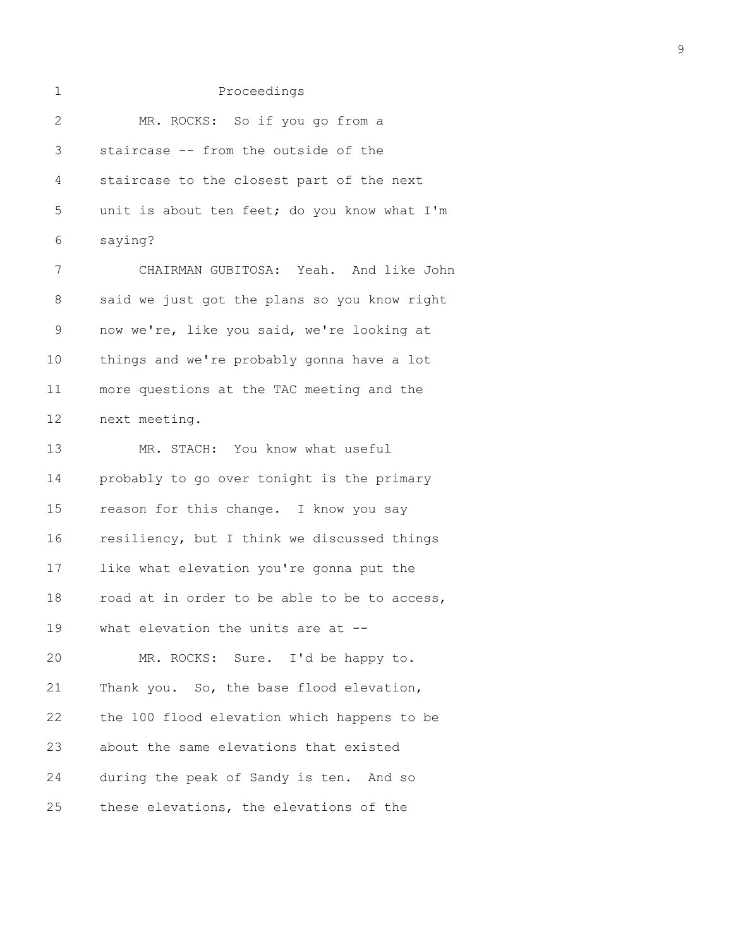| 1            | Proceedings                                  |
|--------------|----------------------------------------------|
| $\mathbf{2}$ | MR. ROCKS: So if you go from a               |
| 3            | staircase -- from the outside of the         |
| 4            | staircase to the closest part of the next    |
| 5            | unit is about ten feet; do you know what I'm |
| 6            | saying?                                      |
| 7            | CHAIRMAN GUBITOSA: Yeah. And like John       |
| $8\,$        | said we just got the plans so you know right |
| $\mathsf 9$  | now we're, like you said, we're looking at   |
| 10           | things and we're probably gonna have a lot   |
| 11           | more questions at the TAC meeting and the    |
| 12           | next meeting.                                |
| 13           | MR. STACH: You know what useful              |
| 14           | probably to go over tonight is the primary   |
| 15           | reason for this change. I know you say       |
| 16           | resiliency, but I think we discussed things  |
| 17           | like what elevation you're gonna put the     |
| 18           | road at in order to be able to be to access, |
| 19           | what elevation the units are at --           |
| 20           | MR. ROCKS: Sure. I'd be happy to.            |
| 21           | Thank you. So, the base flood elevation,     |
| 22           | the 100 flood elevation which happens to be  |
| 23           | about the same elevations that existed       |
| 24           | during the peak of Sandy is ten. And so      |
| 25           | these elevations, the elevations of the      |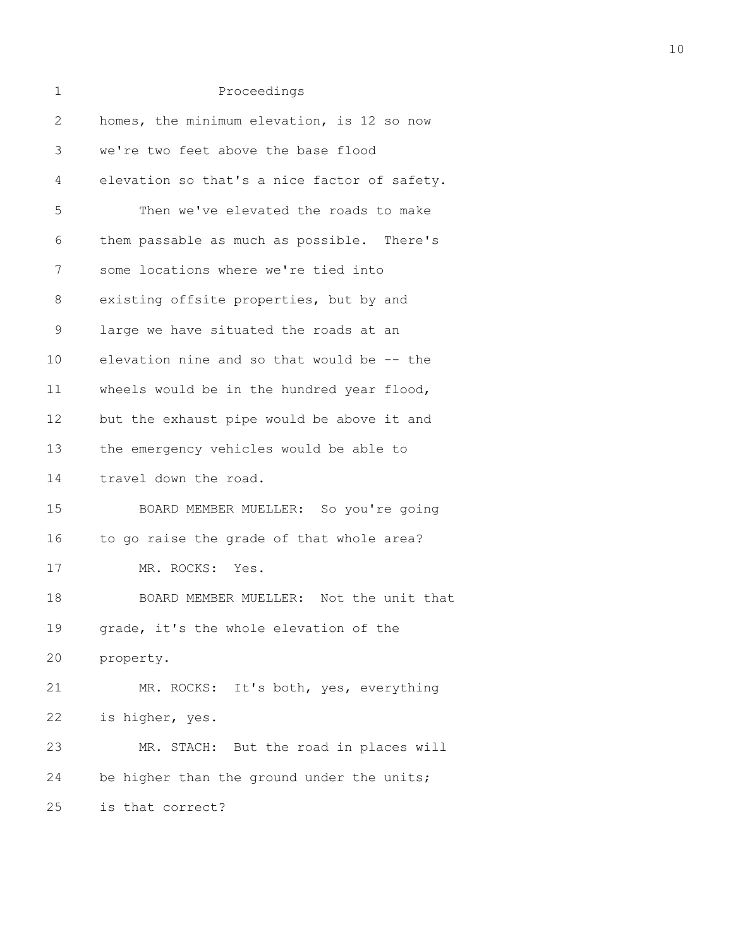| 1            | Proceedings                                  |
|--------------|----------------------------------------------|
| $\mathbf{2}$ | homes, the minimum elevation, is 12 so now   |
| 3            | we're two feet above the base flood          |
| 4            | elevation so that's a nice factor of safety. |
| 5            | Then we've elevated the roads to make        |
| 6            | them passable as much as possible. There's   |
| 7            | some locations where we're tied into         |
| 8            | existing offsite properties, but by and      |
| $\mathsf 9$  | large we have situated the roads at an       |
| 10           | elevation nine and so that would be -- the   |
| 11           | wheels would be in the hundred year flood,   |
| 12           | but the exhaust pipe would be above it and   |
| 13           | the emergency vehicles would be able to      |
| 14           | travel down the road.                        |
| 15           | BOARD MEMBER MUELLER: So you're going        |
| 16           | to go raise the grade of that whole area?    |
| 17           | MR. ROCKS: Yes.                              |
| 18           | BOARD MEMBER MUELLER: Not the unit that      |
| 19           | grade, it's the whole elevation of the       |
| 20           | property.                                    |
| 21           | MR. ROCKS: It's both, yes, everything        |
| 22           | is higher, yes.                              |
| 23           | MR. STACH: But the road in places will       |
| 24           | be higher than the ground under the units;   |
| 25           | is that correct?                             |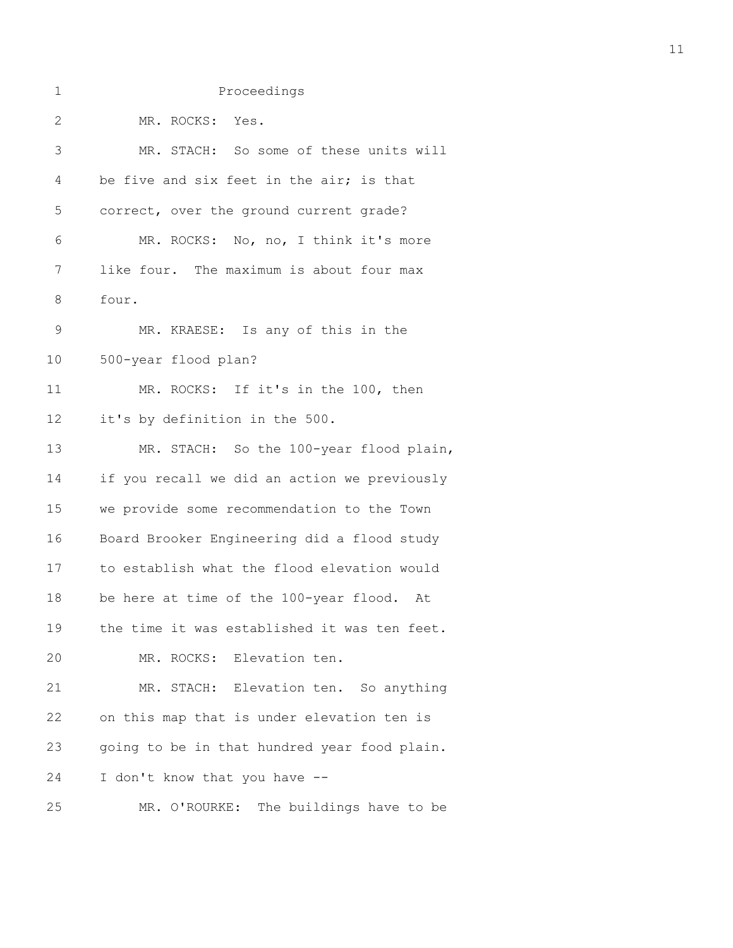| 1             | Proceedings                                  |
|---------------|----------------------------------------------|
| $\mathbf{2}$  | MR. ROCKS: Yes.                              |
| 3             | MR. STACH: So some of these units will       |
| 4             | be five and six feet in the air; is that     |
| 5             | correct, over the ground current grade?      |
| 6             | MR. ROCKS: No, no, I think it's more         |
| 7             | like four. The maximum is about four max     |
| 8             | four.                                        |
| $\mathcal{G}$ | MR. KRAESE: Is any of this in the            |
| $10$          | 500-year flood plan?                         |
| 11            | MR. ROCKS: If it's in the 100, then          |
| 12            | it's by definition in the 500.               |
| 13            | MR. STACH: So the 100-year flood plain,      |
| 14            | if you recall we did an action we previously |
| 15            | we provide some recommendation to the Town   |
| 16            | Board Brooker Engineering did a flood study  |
| 17            | to establish what the flood elevation would  |
| 18            | be here at time of the 100-year flood.<br>At |
| 19            | the time it was established it was ten feet. |
| 20            | MR. ROCKS: Elevation ten.                    |
| 21            | MR. STACH: Elevation ten. So anything        |
| 22            | on this map that is under elevation ten is   |
| 23            | going to be in that hundred year food plain. |
| 24            | I don't know that you have --                |
| 25            | MR. O'ROURKE: The buildings have to be       |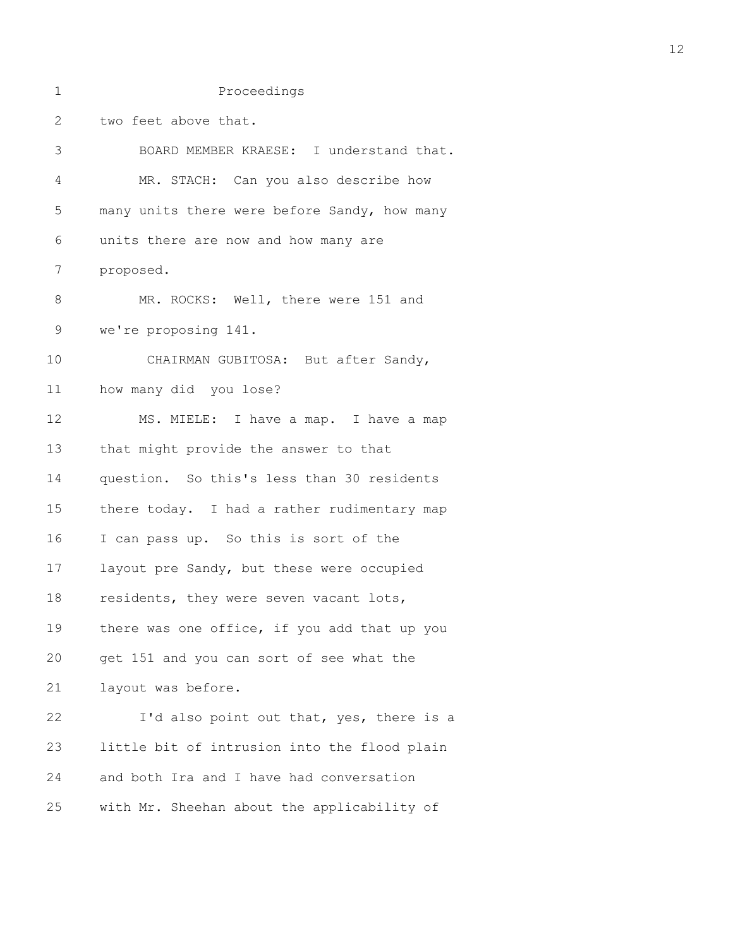1 Proceedings 2 two feet above that. 3 BOARD MEMBER KRAESE: I understand that. 4 MR. STACH: Can you also describe how 5 many units there were before Sandy, how many 6 units there are now and how many are 7 proposed. 8 MR. ROCKS: Well, there were 151 and 9 we're proposing 141. 10 CHAIRMAN GUBITOSA: But after Sandy, 11 how many did you lose? 12 MS. MIELE: I have a map. I have a map 13 that might provide the answer to that 14 question. So this's less than 30 residents 15 there today. I had a rather rudimentary map 16 I can pass up. So this is sort of the 17 layout pre Sandy, but these were occupied 18 residents, they were seven vacant lots, 19 there was one office, if you add that up you 20 get 151 and you can sort of see what the 21 layout was before. 22 I'd also point out that, yes, there is a 23 little bit of intrusion into the flood plain 24 and both Ira and I have had conversation 25 with Mr. Sheehan about the applicability of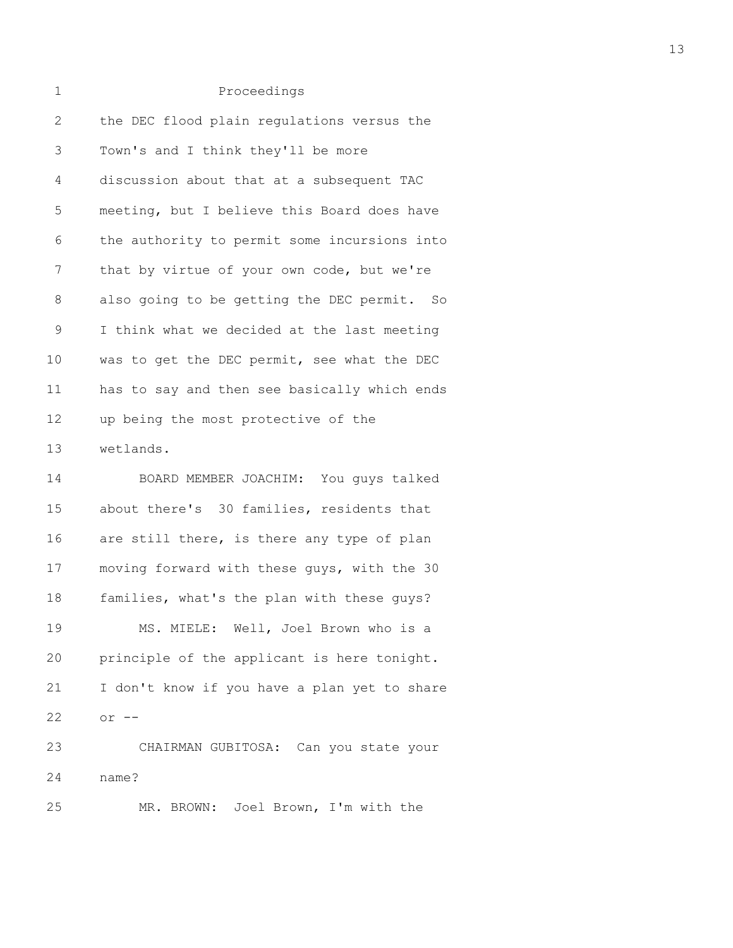| $\mathbf 1$  | Proceedings                                  |
|--------------|----------------------------------------------|
| $\mathbf{2}$ | the DEC flood plain regulations versus the   |
| 3            | Town's and I think they'll be more           |
| 4            | discussion about that at a subsequent TAC    |
| 5            | meeting, but I believe this Board does have  |
| 6            | the authority to permit some incursions into |
| 7            | that by virtue of your own code, but we're   |
| 8            | also going to be getting the DEC permit. So  |
| $\mathsf 9$  | I think what we decided at the last meeting  |
| 10           | was to get the DEC permit, see what the DEC  |
| 11           | has to say and then see basically which ends |
| 12           | up being the most protective of the          |
| 13           | wetlands.                                    |
| 14           | BOARD MEMBER JOACHIM: You guys talked        |
| 15           | about there's 30 families, residents that    |
| 16           | are still there, is there any type of plan   |
| 17           | moving forward with these guys, with the 30  |
| 18           | families, what's the plan with these guys?   |
| 19           | MS. MIELE: Well, Joel Brown who is a         |
| 20           | principle of the applicant is here tonight.  |
| 21           | I don't know if you have a plan yet to share |
| 22           | $or$ $--$                                    |
| 23           | CHAIRMAN GUBITOSA: Can you state your        |
| 24           | name?                                        |
| 25           | MR. BROWN: Joel Brown, I'm with the          |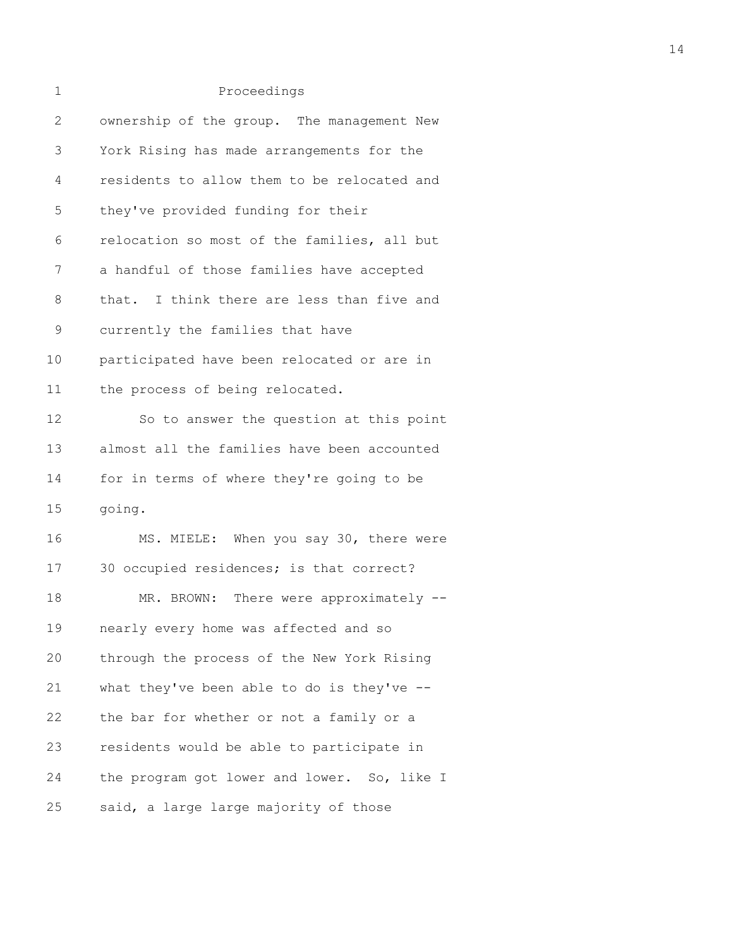| 1             | Proceedings                                 |
|---------------|---------------------------------------------|
| 2             | ownership of the group. The management New  |
| 3             | York Rising has made arrangements for the   |
| 4             | residents to allow them to be relocated and |
| 5             | they've provided funding for their          |
| 6             | relocation so most of the families, all but |
| 7             | a handful of those families have accepted   |
| 8             | that. I think there are less than five and  |
| $\mathcal{G}$ | currently the families that have            |
| 10            | participated have been relocated or are in  |
| 11            | the process of being relocated.             |
| 12            | So to answer the question at this point     |
| 13            | almost all the families have been accounted |
| 14            | for in terms of where they're going to be   |
| 15            | going.                                      |
| 16            | MS. MIELE: When you say 30, there were      |
| 17            | 30 occupied residences; is that correct?    |
| 18            | MR. BROWN:<br>There were approximately --   |
| 19            | nearly every home was affected and so       |
| 20            | through the process of the New York Rising  |
| 21            | what they've been able to do is they've --  |
| 22            | the bar for whether or not a family or a    |
| 23            | residents would be able to participate in   |
| 24            | the program got lower and lower. So, like I |
| 25            | said, a large large majority of those       |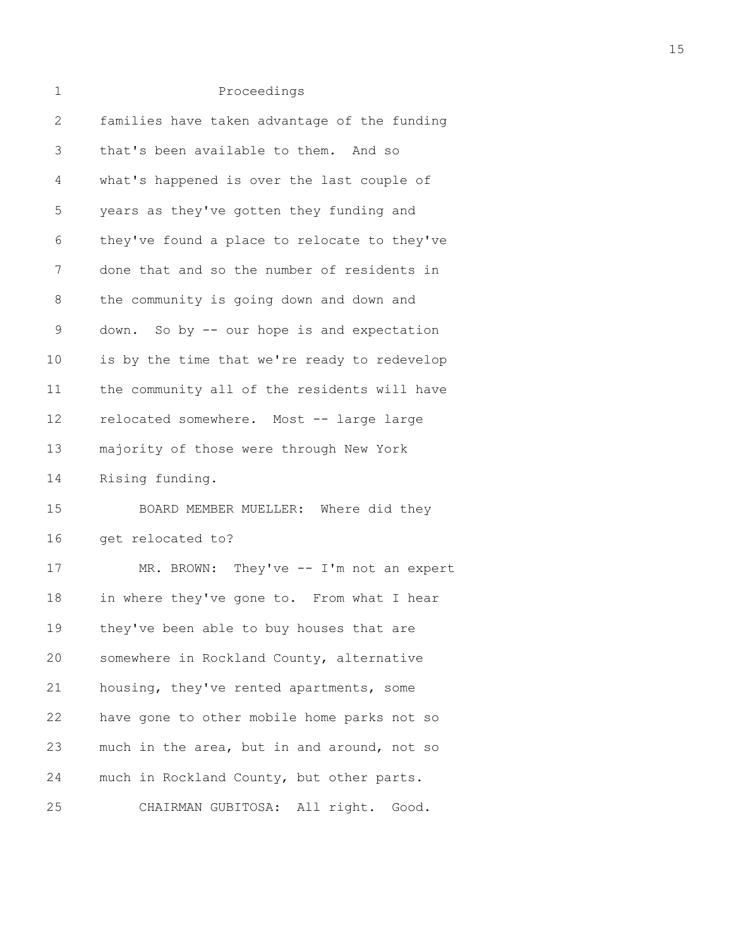| 1            | Proceedings                                  |
|--------------|----------------------------------------------|
| $\mathbf{2}$ | families have taken advantage of the funding |
| 3            | that's been available to them. And so        |
| 4            | what's happened is over the last couple of   |
| 5            | years as they've gotten they funding and     |
| 6            | they've found a place to relocate to they've |
| 7            | done that and so the number of residents in  |
| 8            | the community is going down and down and     |
| $\mathsf 9$  | down. So by -- our hope is and expectation   |
| 10           | is by the time that we're ready to redevelop |
| 11           | the community all of the residents will have |
| 12           | relocated somewhere. Most -- large large     |
| 13           | majority of those were through New York      |
| 14           | Rising funding.                              |
| 15           | BOARD MEMBER MUELLER: Where did they         |
| 16           | get relocated to?                            |
| 17           | MR. BROWN: They've -- I'm not an expert      |
| 18           | in where they've gone to. From what I hear   |
| 19           | they've been able to buy houses that are     |
| 20           | somewhere in Rockland County, alternative    |
| 21           | housing, they've rented apartments, some     |
| 22           | have gone to other mobile home parks not so  |
| 23           | much in the area, but in and around, not so  |
| 24           | much in Rockland County, but other parts.    |
| 25           | CHAIRMAN GUBITOSA: All right. Good.          |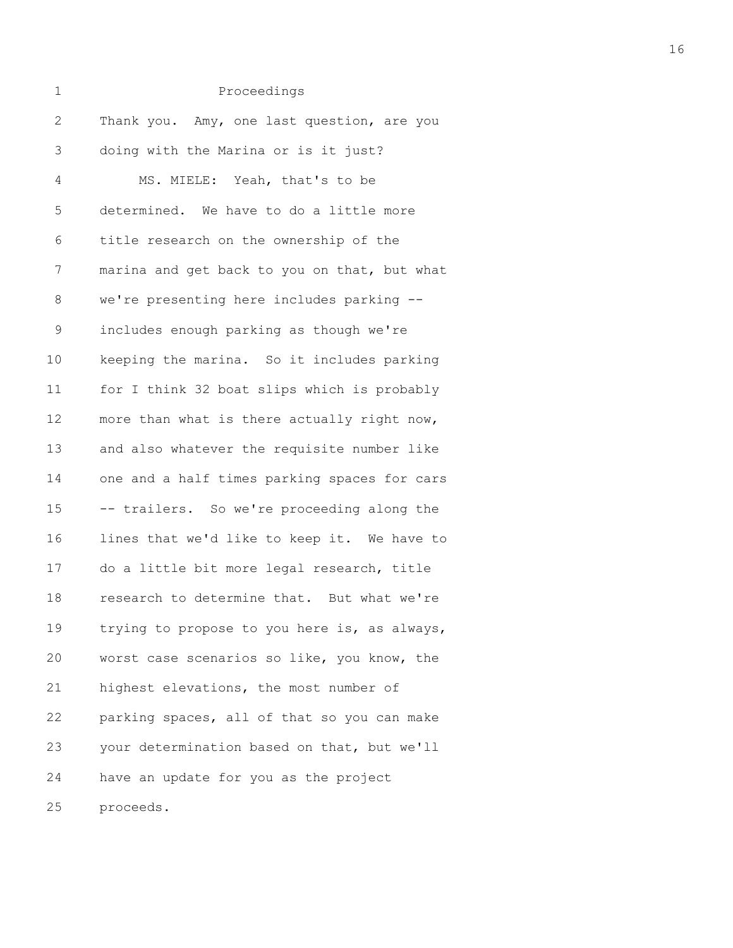| 1            | Proceedings                                  |
|--------------|----------------------------------------------|
| $\mathbf{2}$ | Thank you. Amy, one last question, are you   |
| 3            | doing with the Marina or is it just?         |
| 4            | MS. MIELE: Yeah, that's to be                |
| 5            | determined. We have to do a little more      |
| 6            | title research on the ownership of the       |
| 7            | marina and get back to you on that, but what |
| 8            | we're presenting here includes parking --    |
| $\mathsf 9$  | includes enough parking as though we're      |
| 10           | keeping the marina. So it includes parking   |
| 11           | for I think 32 boat slips which is probably  |
| 12           | more than what is there actually right now,  |
| 13           | and also whatever the requisite number like  |
| 14           | one and a half times parking spaces for cars |
| 15           | -- trailers. So we're proceeding along the   |
| 16           | lines that we'd like to keep it. We have to  |
| 17           | do a little bit more legal research, title   |
| 18           | research to determine that. But what we're   |
| 19           | trying to propose to you here is, as always, |
| 20           | worst case scenarios so like, you know, the  |
| 21           | highest elevations, the most number of       |
| 22           | parking spaces, all of that so you can make  |
| 23           | your determination based on that, but we'll  |
| 24           | have an update for you as the project        |
| 25           | proceeds.                                    |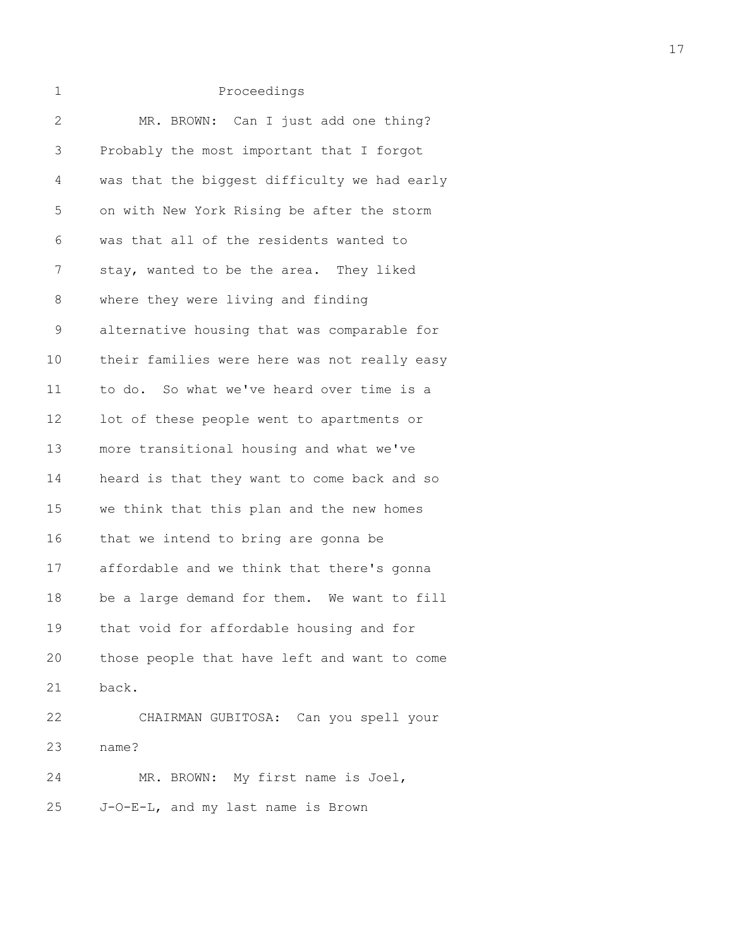| 2  | MR. BROWN: Can I just add one thing?         |
|----|----------------------------------------------|
| 3  | Probably the most important that I forgot    |
| 4  | was that the biggest difficulty we had early |
| 5  | on with New York Rising be after the storm   |
| 6  | was that all of the residents wanted to      |
| 7  | stay, wanted to be the area. They liked      |
| 8  | where they were living and finding           |
| 9  | alternative housing that was comparable for  |
| 10 | their families were here was not really easy |
| 11 | to do. So what we've heard over time is a    |
| 12 | lot of these people went to apartments or    |
| 13 | more transitional housing and what we've     |
| 14 | heard is that they want to come back and so  |
| 15 | we think that this plan and the new homes    |
| 16 | that we intend to bring are gonna be         |
| 17 | affordable and we think that there's gonna   |
| 18 | be a large demand for them. We want to fill  |
| 19 | that void for affordable housing and for     |
| 20 | those people that have left and want to come |
| 21 | back.                                        |
| 22 | CHAIRMAN GUBITOSA: Can you spell your        |
| 23 | name?                                        |
| 24 | MR. BROWN: My first name is Joel,            |
| 25 | J-O-E-L, and my last name is Brown           |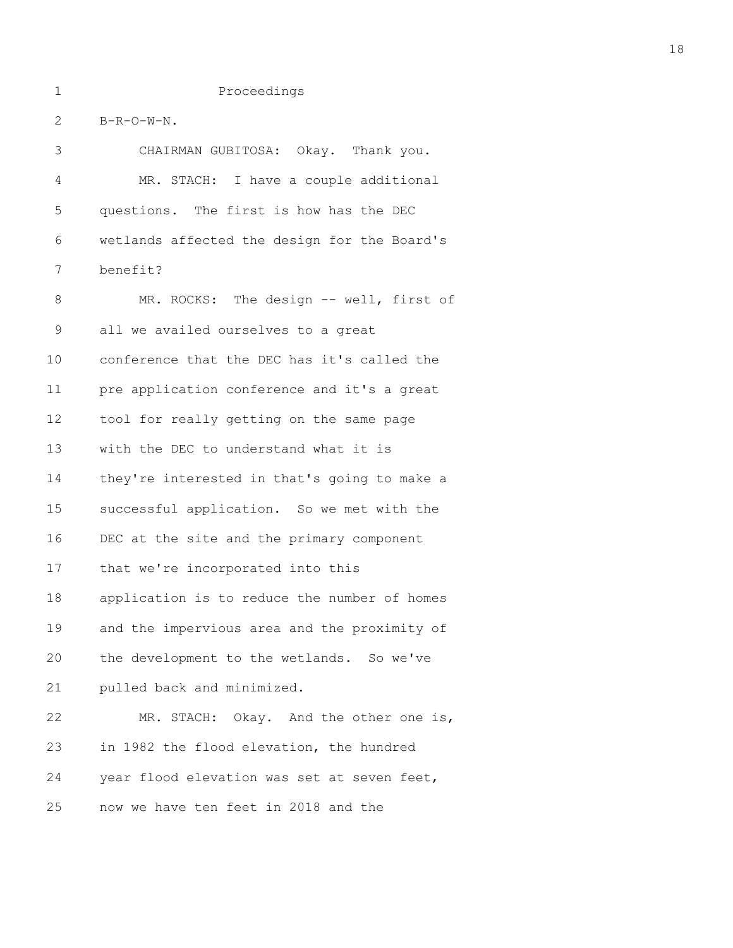2 B-R-O-W-N.

3 CHAIRMAN GUBITOSA: Okay. Thank you. 4 MR. STACH: I have a couple additional 5 questions. The first is how has the DEC 6 wetlands affected the design for the Board's 7 benefit? 8 MR. ROCKS: The design -- well, first of 9 all we availed ourselves to a great 10 conference that the DEC has it's called the 11 pre application conference and it's a great 12 tool for really getting on the same page 13 with the DEC to understand what it is 14 they're interested in that's going to make a 15 successful application. So we met with the 16 DEC at the site and the primary component 17 that we're incorporated into this 18 application is to reduce the number of homes 19 and the impervious area and the proximity of 20 the development to the wetlands. So we've 21 pulled back and minimized. 22 MR. STACH: Okay. And the other one is, 23 in 1982 the flood elevation, the hundred 24 year flood elevation was set at seven feet, 25 now we have ten feet in 2018 and the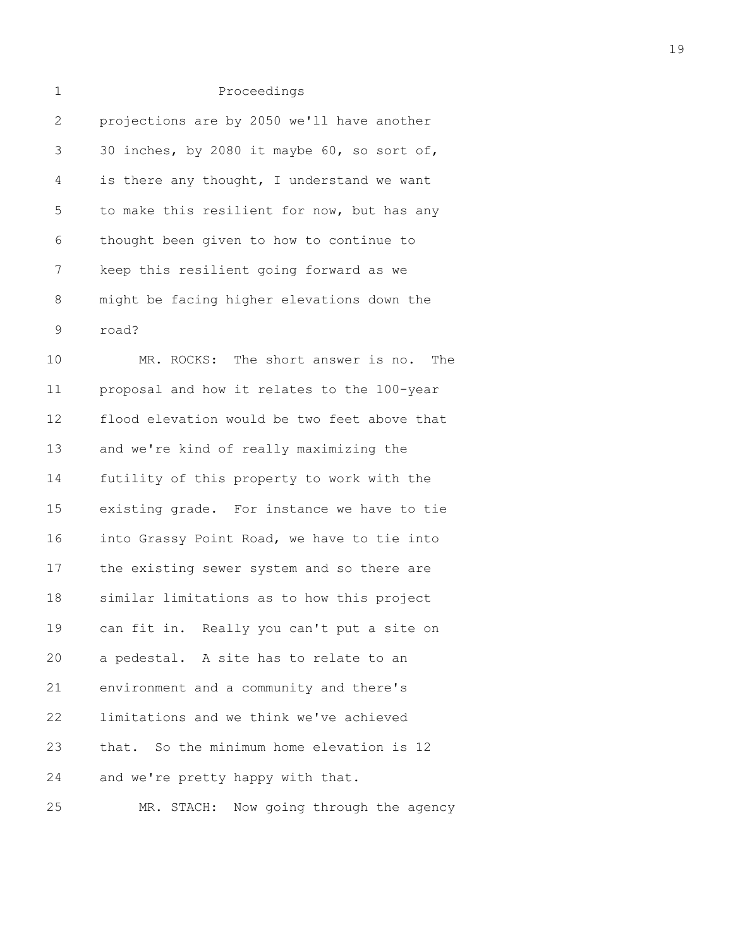# 1 Proceedings 2 projections are by 2050 we'll have another 3 30 inches, by 2080 it maybe 60, so sort of, 4 is there any thought, I understand we want 5 to make this resilient for now, but has any 6 thought been given to how to continue to 7 keep this resilient going forward as we 8 might be facing higher elevations down the 9 road? 10 MR. ROCKS: The short answer is no. The 11 proposal and how it relates to the 100-year 12 flood elevation would be two feet above that 13 and we're kind of really maximizing the 14 futility of this property to work with the 15 existing grade. For instance we have to tie 16 into Grassy Point Road, we have to tie into 17 the existing sewer system and so there are 18 similar limitations as to how this project 19 can fit in. Really you can't put a site on 20 a pedestal. A site has to relate to an

21 environment and a community and there's 22 limitations and we think we've achieved 23 that. So the minimum home elevation is 12 24 and we're pretty happy with that.

25 MR. STACH: Now going through the agency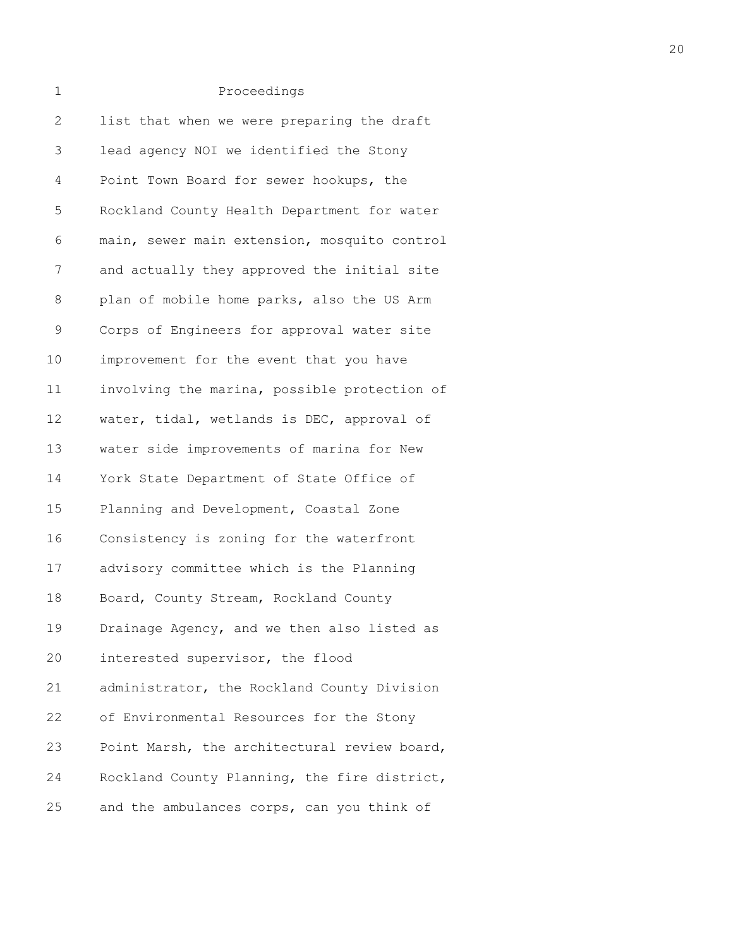| 2           | list that when we were preparing the draft   |
|-------------|----------------------------------------------|
| 3           | lead agency NOI we identified the Stony      |
| 4           | Point Town Board for sewer hookups, the      |
| 5           | Rockland County Health Department for water  |
| 6           | main, sewer main extension, mosquito control |
| 7           | and actually they approved the initial site  |
| $\,8\,$     | plan of mobile home parks, also the US Arm   |
| $\mathsf 9$ | Corps of Engineers for approval water site   |
| 10          | improvement for the event that you have      |
| 11          | involving the marina, possible protection of |
| 12          | water, tidal, wetlands is DEC, approval of   |
| 13          | water side improvements of marina for New    |
| 14          | York State Department of State Office of     |
| 15          | Planning and Development, Coastal Zone       |
| 16          | Consistency is zoning for the waterfront     |
| 17          | advisory committee which is the Planning     |
| 18          | Board, County Stream, Rockland County        |
| 19          | Drainage Agency, and we then also listed as  |
| 20          | interested supervisor, the flood             |
| 21          | administrator, the Rockland County Division  |
| 22          | of Environmental Resources for the Stony     |
| 23          | Point Marsh, the architectural review board, |
| 24          | Rockland County Planning, the fire district, |
| 25          | and the ambulances corps, can you think of   |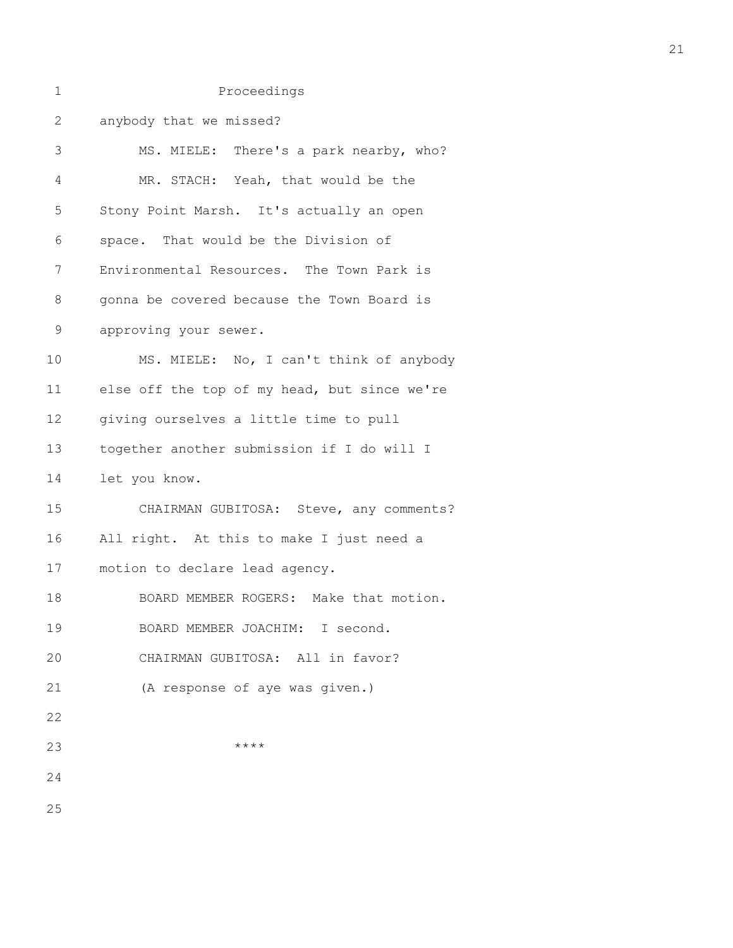| 1            | Proceedings                                  |
|--------------|----------------------------------------------|
| $\mathbf{2}$ | anybody that we missed?                      |
| 3            | MS. MIELE: There's a park nearby, who?       |
| 4            | MR. STACH: Yeah, that would be the           |
| 5            | Stony Point Marsh. It's actually an open     |
| 6            | space. That would be the Division of         |
| 7            | Environmental Resources. The Town Park is    |
| 8            | gonna be covered because the Town Board is   |
| $\mathsf 9$  | approving your sewer.                        |
| 10           | MS. MIELE: No, I can't think of anybody      |
| 11           | else off the top of my head, but since we're |
| 12           | giving ourselves a little time to pull       |
| 13           | together another submission if I do will I   |
| 14           | let you know.                                |
| 15           | CHAIRMAN GUBITOSA: Steve, any comments?      |
| 16           | All right. At this to make I just need a     |
| 17           | motion to declare lead agency.               |
| 18           | BOARD MEMBER ROGERS: Make that motion.       |
| 19           | BOARD MEMBER JOACHIM: I second.              |
| 20           | CHAIRMAN GUBITOSA: All in favor?             |
| 21           | (A response of aye was given.)               |
| 22           |                                              |
| 23           | ****                                         |
| 24           |                                              |
| 25           |                                              |